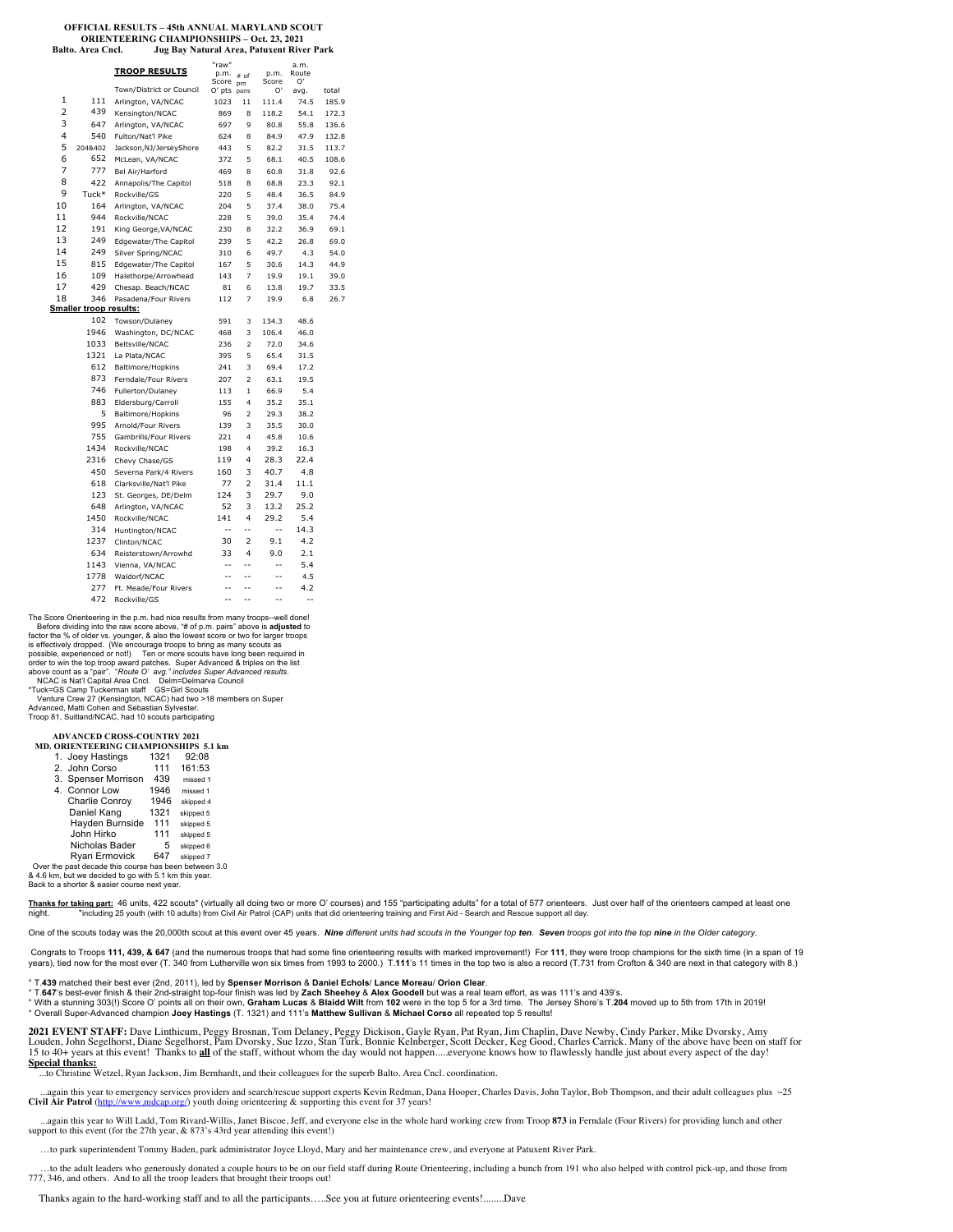#### **OFFICIAL RESULTS – 45th ANNUAL MARYLAND SCOUT ORIENTEERING CHAMPIONSHIPS – Oct. 23, 2021 Jug Bay Natural Area, Patuxent River Park**

|                |                               | <b>TROOP RESULTS</b>     | "raw"<br>p.m.<br>Score | # of<br>pm          | p.m.<br>Score | a.m.<br>Route<br>O' |       |
|----------------|-------------------------------|--------------------------|------------------------|---------------------|---------------|---------------------|-------|
|                |                               | Town/District or Council | O' pts                 | pairs               | O'            | avg.                | total |
| 1              | 111                           | Arlington, VA/NCAC       | 1023                   | 11                  | 111.4         | 74.5                | 185.9 |
| $\overline{2}$ | 439                           | Kensington/NCAC          | 869                    | 8                   | 118.2         | 54.1                | 172.3 |
| 3              | 647                           | Arlington, VA/NCAC       | 697                    | 9                   | 80.8          | 55.8                | 136.6 |
| 4              | 540                           | Fulton/Nat'l Pike        | 624                    | 8                   | 84.9          | 47.9                | 132.8 |
| 5              | 2048402                       | Jackson, NJ/Jersey Shore | 443                    | 5                   | 82.2          | 31.5                | 113.7 |
| 6              | 652                           | McLean, VA/NCAC          | 372                    | 5                   | 68.1          | 40.5                | 108.6 |
| 7              | 777                           | Bel Air/Harford          | 469                    | 8                   | 60.8          | 31.8                | 92.6  |
| 8              | 422                           | Annapolis/The Capitol    | 518                    | 8                   | 68.8          | 23.3                | 92.1  |
| 9              | Tuck*                         | Rockville/GS             | 220                    | 5                   | 48.4          | 36.5                | 84.9  |
| 10             | 164                           | Arlington, VA/NCAC       | 204                    | 5                   | 37.4          | 38.0                | 75.4  |
| 11             | 944                           | Rockville/NCAC           | 228                    | 5                   | 39.0          | 35.4                | 74.4  |
| 12             | 191                           | King George, VA/NCAC     | 230                    | 8                   | 32.2          | 36.9                | 69.1  |
| 13             | 249                           | Edgewater/The Capitol    | 239                    | 5                   | 42.2          | 26.8                | 69.0  |
| 14             | 249                           | Silver Spring/NCAC       | 310                    | 6                   | 49.7          | 4.3                 | 54.0  |
| 15             | 815                           | Edgewater/The Capitol    | 167                    | 5                   | 30.6          | 14.3                | 44.9  |
| 16             | 109                           | Halethorpe/Arrowhead     | 143                    | 7                   | 19.9          | 19.1                | 39.0  |
| 17             | 429                           | Chesap. Beach/NCAC       | 81                     | 6                   | 13.8          | 19.7                | 33.5  |
| 18             | 346                           | Pasadena/Four Rivers     | 112                    | 7                   | 19.9          | 6.8                 | 26.7  |
|                | <b>Smaller troop results:</b> |                          |                        |                     |               |                     |       |
|                | 102                           | Towson/Dulaney           | 591                    | 3                   | 134.3         | 48.6                |       |
|                | 1946                          | Washington, DC/NCAC      | 468                    | 3                   | 106.4         | 46.0                |       |
|                | 1033                          | Beltsville/NCAC          | 236                    | $\overline{c}$      | 72.0          | 34.6                |       |
|                | 1321                          | La Plata/NCAC            | 395                    | 5                   | 65.4          | 31.5                |       |
|                | 612                           | Baltimore/Hopkins        | 241                    | 3                   | 69.4          | 17.2                |       |
|                | 873                           | Ferndale/Four Rivers     | 207                    | $\overline{2}$      | 63.1          | 19.5                |       |
|                | 746                           | Fullerton/Dulaney        | 113                    | 1                   | 66.9          | 5.4                 |       |
|                | 883                           | Eldersburg/Carroll       | 155                    | $\overline{4}$      | 35.2          | 35.1                |       |
|                | 5                             | Baltimore/Hopkins        | 96                     | $\overline{2}$      | 29.3          | 38.2                |       |
|                | 995                           | Arnold/Four Rivers       | 139                    | 3                   | 35.5          | 30.0                |       |
|                | 755<br>1434                   | Gambrills/Four Rivers    | 221                    | $\overline{4}$      | 45.8          | 10.6                |       |
|                |                               | Rockville/NCAC           | 198                    | $\overline{4}$<br>4 | 39.2          | 16.3                |       |
|                | 2316<br>450                   | Chevy Chase/GS           | 119                    | 3                   | 28.3<br>40.7  | 22.4<br>4.8         |       |
|                | 618                           | Severna Park/4 Rivers    | 160<br>77              | 2                   |               | 11.1                |       |
|                | 123                           | Clarksville/Nat'l Pike   |                        | 3                   | 31.4          |                     |       |
|                | 648                           | St. Georges, DE/Delm     | 124<br>52              | 3                   | 29.7<br>13.2  | 9.0<br>25.2         |       |
|                | 1450                          | Arlington, VA/NCAC       | 141                    | 4                   | 29.2          | 5.4                 |       |
|                |                               | Rockville/NCAC           | $\frac{1}{2}$          | $\overline{a}$      | Ξ.            |                     |       |
|                | 314<br>1237                   | Huntington/NCAC          | 30                     | $\overline{2}$      | 9.1           | 14.3<br>4.2         |       |
|                |                               | Clinton/NCAC             |                        |                     |               |                     |       |
|                | 634<br>1143                   | Reisterstown/Arrowhd     | 33<br>$-$              | 4<br>$-$            | 9.0<br>$-$    | 2.1<br>5.4          |       |
|                | 1778                          | Vienna, VA/NCAC          | $\overline{a}$         | $-$                 | $-$           |                     |       |
|                | 277                           | Waldorf/NCAC             | $-$                    | $-$                 | $-$           | 4.5<br>4.2          |       |
|                | 472                           | Ft. Meade/Four Rivers    | --                     | $\overline{a}$      | --            | $\overline{a}$      |       |
|                |                               | Rockville/GS             |                        |                     |               |                     |       |

The Score Orienteering in the p.m. had nice results from many troops--well done! Before dividing into the raw score above, "# of p.m. pairs" above is **adjusted** to<br>factor the % of older vs. younger, & also the lowest score or two for larger troops<br>is effectively dropped. (We encourage troops to bring a possible, experienced or not!) Ten or more scouts have long been required in order to win the top troop award patches. Super Advanced & triples on the list<br>above count as a "pair". "Route O' arg." includes Super Advanced results.<br>NCAC is Nat'l Capital Area Cncl. Delm=Delmarva Council<br>"Tuck=GS Camp

Troop 81, Suitland/NCAC, had 10 scouts participating

### **ADVANCED CROSS-COUNTRY 2021**

## **MD. ORIENTEERING CHAMPIONSHIPS 5.1 km**

| 1. Joey Hastings                                | 1321 | 92:08     |  |  |
|-------------------------------------------------|------|-----------|--|--|
| 2. John Corso                                   | 111  | 161:53    |  |  |
| 3. Spenser Morrison                             | 439  | missed 1  |  |  |
| 4. Connor Low                                   | 1946 | missed 1  |  |  |
| Charlie Conroy                                  | 1946 | skipped 4 |  |  |
| Daniel Kang                                     | 1321 | skipped 5 |  |  |
| Hayden Burnside                                 | 111  | skipped 5 |  |  |
| John Hirko                                      | 111  | skipped 5 |  |  |
| Nicholas Bader                                  | 5    | skipped 6 |  |  |
| <b>Ryan Ermovick</b>                            | 647  | skipped 7 |  |  |
| ctho noot doondo thio course han hoon botwaan 3 |      |           |  |  |

Over the past decade this course has been between 3.0 & 4.6 km, but we decided to go with 5.1 km this year.

Back to a shorter & easier course next year.

Thanks for taking part: 46 units, 422 scouts\* (virtually all doing two or more O' courses) and 155 "participating adults" for a total of 577 orienteers. Just over half of the orienteers camped at least one night. \*including 25 youth (with 10 adults) from Civil Air Patrol (CAP) units that did orienteering training and First Aid - Search and Rescue support all day.

One of the scouts today was the 20,000th scout at this event over 45 years. Nine different units had scouts in the Younger top ten. Seven troops got into the top nine in the Older category.

 Congrats to Troops **111, 439, & 647** (and the numerous troops that had some fine orienteering results with marked improvement!) For **111**, they were troop champions for the sixth time (in a span of 19 years), tied now for the most ever (T. 340 from Lutherville won six times from 1993 to 2000.) T.**111**'s 11 times in the top two is also a record (T.731 from Crofton & 340 are next in that category with 8.)

° T.**439** matched their best ever (2nd, 2011), led by **Spenser Morrison** & **Daniel Echols**/ **Lance Moreau**/ **Orion Clear**.

° T.647's best-ever finish & their 2nd-straight top-four finish was led by **Zach Sheehey & Alex Goodell** but was a real team effort, as was 111's and 439's.<br>° With a stunning 303(!) Score O' points all on their own, **Graha** ° Overall Super-Advanced champion **Joey Hastings** (T. 1321) and 111's **Matthew Sullivan** & **Michael Corso** all repeated top 5 results!

**2021 EVENT STAFF:** Dave Linthicum, Peggy Brosnan, Tom Delaney, Peggy Dickison, Gayle Ryan, Pat Ryan, Jim Chaplin, Dave Newby, Cindy Parker, Mike Dvorsky, Amy Louden, John Segelhorst, Diane Segelhorst, Pam Dvorsky, Sue Izzo, Stan Turk, Bonnie Kelnberger, Scott Decker, Keg Good, Charles Carrick. Many of the above have been on staff for<br>15 to 40+ years at this event! Thanks to <mark>al</mark> **Special thanks:** ...to Christine Wetzel, Ryan Jackson, Jim Bernhardt, and their colleagues for the superb Balto. Area Cncl. coordination.

...again this year to emergency services providers and search/rescue support experts Kevin Redman, Dana Hooper, Charles Davis, John Taylor, Bob Thompson, and their adult colleagues plus ~25<br>Civil Air Patrol (http://www.md **D**.org/) youth doing orienteering & supporting this event for 37 years!

 ...again this year to Will Ladd, Tom Rivard-Willis, Janet Biscoe, Jeff, and everyone else in the whole hard working crew from Troop **873** in Ferndale (Four Rivers) for providing lunch and other support to this event (for the 27th year, & 873's 43rd year attending this event!)

…to park superintendent Tommy Baden, park administrator Joyce Lloyd, Mary and her maintenance crew, and everyone at Patuxent River Park.

 …to the adult leaders who generously donated a couple hours to be on our field staff during Route Orienteering, including a bunch from 191 who also helped with control pick-up, and those from 777, 346, and others. And to all the troop leaders that brought their troops out!

Thanks again to the hard-working staff and to all the participants…..See you at future orienteering events!........Dave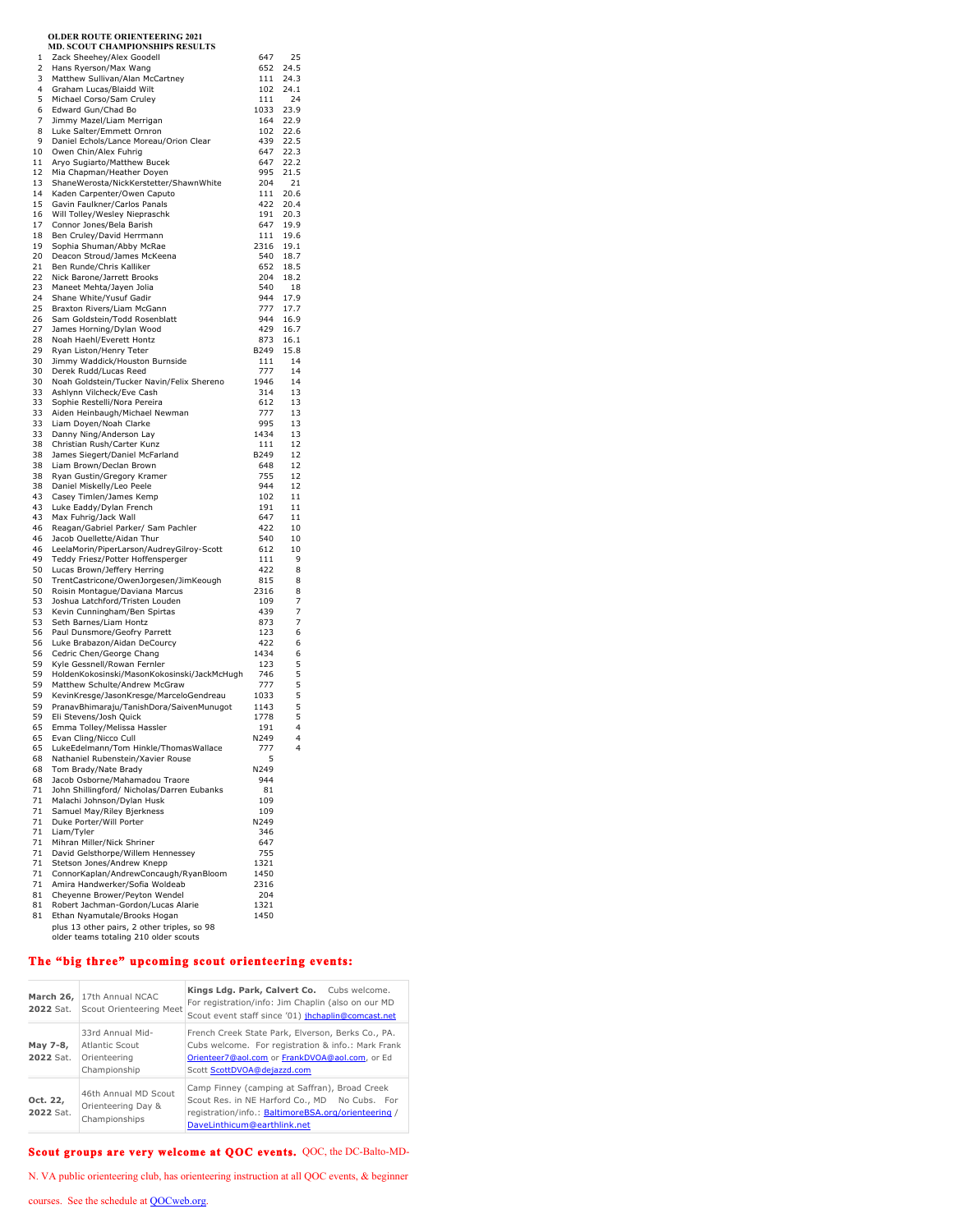|              | <b>OLDER ROUTE ORIENTEERING 2021</b>                                                 |             |              |
|--------------|--------------------------------------------------------------------------------------|-------------|--------------|
| $\mathbf{1}$ | MD. SCOUT CHAMPIONSHIPS RESULTS<br>Zack Sheehey/Alex Goodell                         | 647         | 25           |
| 2            | Hans Ryerson/Max Wang                                                                | 652         | 24.5         |
| 3            | Matthew Sullivan/Alan McCartney                                                      | 111         | 24.3         |
| 4            | Graham Lucas/Blaidd Wilt                                                             | 102         | 24.1         |
| 5<br>6       | Michael Corso/Sam Cruley<br>Edward Gun/Chad Bo                                       | 111<br>1033 | 24<br>23.9   |
| 7            | Jimmy Mazel/Liam Merrigan                                                            | 164         | 22.9         |
| 8            | Luke Salter/Emmett Ornron                                                            | 102         | 22.6         |
| 9            | Daniel Echols/Lance Moreau/Orion Clear                                               | 439         | 22.5         |
| 10<br>11     | Owen Chin/Alex Fuhrig                                                                | 647<br>647  | 22.3<br>22.2 |
| 12           | Aryo Sugiarto/Matthew Bucek<br>Mia Chapman/Heather Doyen                             | 995         | 21.5         |
| 13           | ShaneWerosta/NickKerstetter/ShawnWhite                                               | 204         | 21           |
| 14           | Kaden Carpenter/Owen Caputo                                                          | 111         | 20.6         |
| 15<br>16     | Gavin Faulkner/Carlos Panals                                                         | 422<br>191  | 20.4<br>20.3 |
| 17           | Will Tolley/Wesley Niepraschk<br>Connor Jones/Bela Barish                            | 647         | 19.9         |
| 18           | Ben Cruley/David Herrmann                                                            | 111         | 19.6         |
| 19           | Sophia Shuman/Abby McRae                                                             | 2316        | 19.1         |
| 20<br>21     | Deacon Stroud/James McKeena                                                          | 540<br>652  | 18.7<br>18.5 |
| 22           | Ben Runde/Chris Kalliker<br>Nick Barone/Jarrett Brooks                               | 204         | 18.2         |
| 23           | Maneet Mehta/Jayen Jolia                                                             | 540         | 18           |
| 24           | Shane White/Yusuf Gadir                                                              | 944         | 17.9         |
| 25           | Braxton Rivers/Liam McGann                                                           | 777         | 17.7         |
| 26<br>27     | Sam Goldstein/Todd Rosenblatt<br>James Horning/Dylan Wood                            | 944<br>429  | 16.9<br>16.7 |
| 28           | Noah Haehl/Everett Hontz                                                             | 873         | 16.1         |
| 29           | Ryan Liston/Henry Teter                                                              | B249        | 15.8         |
| 30           | Jimmy Waddick/Houston Burnside                                                       | 111         | 14           |
| 30<br>30     | Derek Rudd/Lucas Reed<br>Noah Goldstein/Tucker Navin/Felix Shereno                   | 777<br>1946 | 14<br>14     |
| 33           | Ashlynn Vilcheck/Eve Cash                                                            | 314         | 13           |
| 33           | Sophie Restelli/Nora Pereira                                                         | 612         | 13           |
| 33           | Aiden Heinbaugh/Michael Newman                                                       | 777         | 13           |
| 33<br>33     | Liam Doyen/Noah Clarke<br>Danny Ning/Anderson Lay                                    | 995<br>1434 | 13<br>13     |
| 38           | Christian Rush/Carter Kunz                                                           | 111         | 12           |
| 38           | James Siegert/Daniel McFarland                                                       | B249        | 12           |
| 38           | Liam Brown/Declan Brown                                                              | 648         | 12           |
| 38<br>38     | Ryan Gustin/Gregory Kramer<br>Daniel Miskelly/Leo Peele                              | 755<br>944  | 12<br>12     |
| 43           | Casey Timlen/James Kemp                                                              | 102         | 11           |
| 43           | Luke Eaddy/Dylan French                                                              | 191         | 11           |
| 43           | Max Fuhrig/Jack Wall                                                                 | 647         | 11           |
| 46<br>46     | Reagan/Gabriel Parker/ Sam Pachler<br>Jacob Ouellette/Aidan Thur                     | 422<br>540  | 10<br>10     |
| 46           | LeelaMorin/PiperLarson/AudreyGilroy-Scott                                            | 612         | 10           |
| 49           | Teddy Friesz/Potter Hoffensperger                                                    | 111         | 9            |
| 50<br>50     | Lucas Brown/Jeffery Herring                                                          | 422<br>815  | 8<br>8       |
| 50           | TrentCastricone/OwenJorgesen/JimKeough<br>Roisin Montague/Daviana Marcus             | 2316        | 8            |
| 53           | Joshua Latchford/Tristen Louden                                                      | 109         | 7            |
| 53           | Kevin Cunningham/Ben Spirtas                                                         | 439         | 7            |
| 53<br>56     | Seth Barnes/Liam Hontz<br>Paul Dunsmore/Geofry Parrett                               | 873         | 7<br>6       |
| 56           | Luke Brabazon/Aidan DeCourcy                                                         | 123<br>422  | 6            |
| 56           | Cedric Chen/George Chang                                                             | 1434        | 6            |
| 59           | Kyle Gessnell/Rowan Fernler                                                          | 123         | 5            |
| 59<br>59     | HoldenKokosinski/MasonKokosinski/JackMcHugh<br>Matthew Schulte/Andrew McGraw         | 746<br>777  | 5<br>5       |
| 59           | KevinKresge/JasonKresge/MarceloGendreau                                              | 1033        | 5            |
| 59           | PranavBhimaraju/TanishDora/SaivenMunuqot                                             | 1143        | 5            |
| 59           | Eli Stevens/Josh Quick                                                               | 1778        | 5            |
| 65<br>65     | Emma Tollev/Melissa Hassler                                                          | 191<br>N249 | 4<br>4       |
| 65           | Evan Cling/Nicco Cull<br>LukeEdelmann/Tom Hinkle/ThomasWallace                       | 777         | 4            |
| 68           | Nathaniel Rubenstein/Xavier Rouse                                                    | 5           |              |
| 68           | Tom Brady/Nate Brady                                                                 | N249        |              |
| 68<br>71     | Jacob Osborne/Mahamadou Traore<br>John Shillingford/ Nicholas/Darren Eubanks         | 944<br>81   |              |
| 71           | Malachi Johnson/Dylan Husk                                                           | 109         |              |
| 71           | Samuel May/Riley Bjerkness                                                           | 109         |              |
| 71           | Duke Porter/Will Porter                                                              | N249        |              |
| 71<br>71     | Liam/Tyler<br>Mihran Miller/Nick Shriner                                             | 346<br>647  |              |
| 71           | David Gelsthorpe/Willem Hennessey                                                    | 755         |              |
| 71           | Stetson Jones/Andrew Knepp                                                           | 1321        |              |
| 71           | ConnorKaplan/AndrewConcaugh/RyanBloom                                                | 1450        |              |
| 71<br>81     | Amira Handwerker/Sofia Woldeab<br>Cheyenne Brower/Peyton Wendel                      | 2316<br>204 |              |
| 81           | Robert Jachman-Gordon/Lucas Alarie                                                   | 1321        |              |
| 81           | Ethan Nyamutale/Brooks Hogan                                                         | 1450        |              |
|              | plus 13 other pairs, 2 other triples, so 98<br>older teams totaling 210 older scouts |             |              |

## **The "big three" upcoming scout orienteering events:**

| 2022 Sat.             | March 26, 17th Annual NCAC<br>Scout Orienteering Meet              | Kings Ldg. Park, Calvert Co. Cubs welcome.<br>For registration/info: Jim Chaplin (also on our MD<br>Scout event staff since '01) jhchaplin@comcast.net                                   |
|-----------------------|--------------------------------------------------------------------|------------------------------------------------------------------------------------------------------------------------------------------------------------------------------------------|
| May 7-8,<br>2022 Sat. | 33rd Annual Mid-<br>Atlantic Scout<br>Orienteering<br>Championship | French Creek State Park, Elverson, Berks Co., PA.<br>Cubs welcome. For registration & info.: Mark Frank<br>Orienteer7@aol.com or FrankDVOA@aol.com, or Ed<br>Scott ScottDVOA@deiazzd.com |
| Oct. 22,<br>2022 Sat. | 46th Annual MD Scout<br>Orienteering Day &<br>Championships        | Camp Finney (camping at Saffran), Broad Creek<br>Scout Res. in NE Harford Co., MD No Cubs. For<br>registration/info.: BaltimoreBSA.org/orienteering /<br>DaveLinthicum@earthlink.net     |

# **Scout groups are very welcome at QOC events.** QOC, the DC-Balto-MD-

N. VA public orienteering club, has orienteering instruction at all QOC events, & beginner